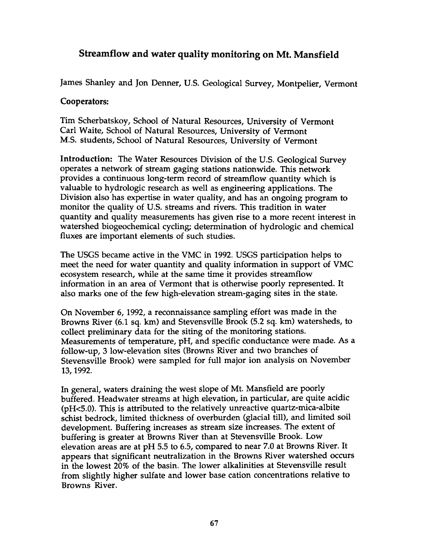## Streamflow and water quality monitoring on Mt. Mansfield

James Shanley and Jon Denner, U.S. Geological Survey, Montpelier, Vermont

## Cooperators:

Tim Scherbatskoy, School of Natural Resources, University of Vermont Carl Waite, School of Natural Resources, University of Vermont M.S. students, School of Natural Resources, University of Vermont

Introduction: The Water Resources Division of the U.S. Geological Survey operates a network of stream gaging stations nationwide. This network provides a continuous long-term record of streamflow quantity which is valuable to hydrologic research as well as engineering applications. The Division also has expertise in water quality, and has an ongoing program to monitor the quality of U.S. streams and rivers. This tradition in water quantity and quality measurements has given rise to a more recent interest in watershed biogeochemical cycling; determination of hydrologic and chemical fluxes are important elements of such studies.

The USGS became active in the VMC in 1992. USGS participation helps to meet the need for water quantity and quality information in support of VMC ecosystem research, while at the same time it provides streamflow information in an area of Vermont that is otherwise poorly represented. It also marks one of the few high-elevation stream-gaging sites in the state.

On November 6, 1992, a reconnaissance sampling effort was made in the Browns River (6.1 sq. km) and Stevensville Brook (5.2 sq. km) watersheds, to collect preliminary data for the siting of the monitoring stations. Measurements of temperature, pH, and specific conductance were made. As a follow-up, 3 low-elevation sites (Browns River and two branches of Stevensville Brook) were sampled for full major ion analysis on November 13, 1992.

In general, waters draining the west slope of Mt. Mansfield are poorly buffered. Headwater streams at high elevation, in particular, are quite acidic ( $pH<5.0$ ). This is attributed to the relatively unreactive quartz-mica-albite schist bedrock, limited thickness of overburden (glacial till), and limited soil development. Buffering increases as stream size increases. The extent of buffering is greater at Browns River than at Stevensville Brook. Low elevation areas are at pH 5.5 to 6.5, compared to near 7.0 at Browns River. It appears that significant neutralization in the Browns River watershed occurs in the lowest 20% of the basin. The lower alkalinities at Stevensville result from slightly higher sulfate and lower base cation concentrations relative to Browns River.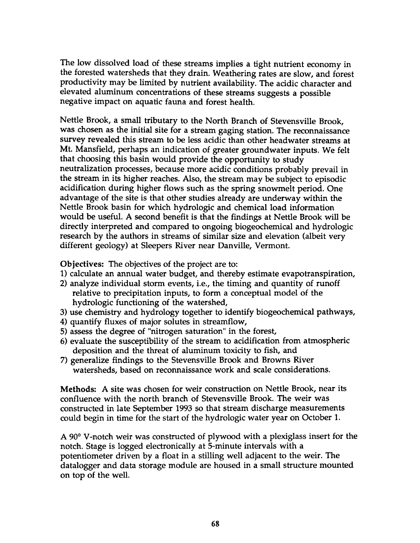The low dissolved load of these streams implies a tight nutrient economy in the forested watersheds that they drain. Weathering rates are slow, and forest productivity may be limited by nutrient availability. The acidic character and elevated aluminum concentrations of these streams suggests a possible negative impact on aquatic fauna and forest health.

Nettle Brook, a small tributary to the North Branch of Stevensville Brook, was chosen as the initial site for a stream gaging station. The reconnaissance survey revealed this stream to be less acidic than other headwater streams at Mt. Mansfield, perhaps an indication of greater groundwater inputs. We felt that choosing this basin would provide the opportunity to study neutralization processes, because more acidic conditions probably prevail in the stream in its higher reaches. Also, the stream may be subject to episodic acidification during higher flows such as the spring snowmelt period. One advantage of the site is that other studies already are underway within the Nettle Brook basin for which hydrologic and chemical load information would be useful. A second benefit is that the findings at Nettle Brook will be directly interpreted and compared to ongoing biogeochemical and hydrologic research by the authors in streams of similar size and elevation {albeit very different geology) at Sleepers River near Danville, Vermont.

Objectives: The objectives of the project are to:

- 1) calculate an annual water budget, and thereby estimate evapotranspiration,
- 2) analyze individual storm events, i.e., the timing and quantity of runoff relative to precipitation inputs, to form a conceptual model of the hydrologic functioning of the watershed,
- 3) use chemistry and hydrology together to identify biogeochemical pathways,
- 4) quantify fluxes of major solutes in streamflow,
- 5) assess the degree of "nitrogen saturation" in the forest,
- 6) evaluate the susceptibility of the stream to acidification from atmospheric deposition and the threat of aluminum toxicity to fish, and
- 7) generalize findings to the Stevensville Brook and Browns River watersheds, based on reconnaissance work and scale considerations.

Methods: A site was chosen for weir construction on Nettle Brook, near its confluence with the north branch of Stevensville Brook. The weir was constructed in late September 1993 so that stream discharge measurements could begin in time for the start of the hydrologic water year on October 1.

A 90° V -notch weir was constructed of plywood with a plexiglass insert for the notch. Stage is logged electronically at 5-minute intervals with a potentiometer driven by a float in a stilling well adjacent to the weir. The datalogger and data storage module are housed in a small structure mounted on top of the well.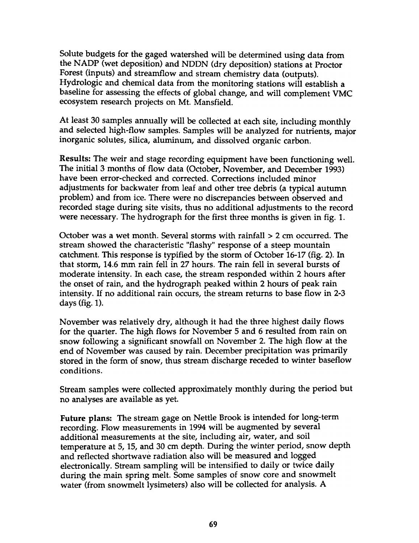Solute budgets for the gaged watershed will be determined using data from the NADP (wet deposition) and NDDN (dry deposition) stations at Proctor Forest (inputs) and streamflow and stream chemistry data (outputs). Hydrologic and chemical data from the monitoring stations will establish a baseline for assessing the effects of global change, and will complement VMC ecosystem research projects on Mt. Mansfield.

At least 30 samples annually will be collected at each site, including monthly and selected high-flow samples. Samples will be analyzed for nutrients, major inorganic solutes, silica, aluminum, and dissolved organic carbon.

Results: The weir and stage recording equipment have been functioning well. The initial 3 months of flow data (October, November, and December 1993) have been error-checked and corrected. Corrections included minor adjustments for backwater from leaf and other tree debris (a typical autumn problem) and from ice. There were no discrepancies between observed and recorded stage during site visits, thus no additional adjustments to the record were necessary. The hydrograph for the first three months is given in fig. 1.

October was a wet month. Several storms with rainfall  $> 2$  cm occurred. The stream showed the characteristic "flashy" response of a steep mountain catchment. This response is typified by the storm of October 16-17 (fig. 2). In that storm, 14.6 mm rain fell in 27 hours. The rain fell in several bursts of moderate intensity. In each case, the stream responded within 2 hours after the onset of rain, and the hydrograph peaked within 2 hours of peak rain intensity. If no additional rain occurs, the stream returns to base flow in 2-3 days (fig. 1).

November was relatively dry, although it had the three highest daily flows for the quarter. The high flows for November 5 and 6 resulted from rain on snow following a significant snowfall on November 2. The high flow at the end of November was caused by rain. December precipitation was primarily stored in the form of snow, thus stream discharge receded to winter baseflow conditions.

Stream samples were collected approximately monthly during the period but no analyses are available as yet.

Future plans: The stream gage on Nettle Brook is intended for long-term recording. Flow measurements in 1994 will be augmented by several additional measurements at the site, including air, water, and soil temperature at 5, 15, and 30 cm depth. During the winter period, snow depth and reflected shortwave radiation also will be measured and logged electronically. Stream sampling will be intensified to daily or twice daily during the main spring melt. Some samples of snow core and snowmelt water (from snowmelt lysimeters) also will be collected for analysis. A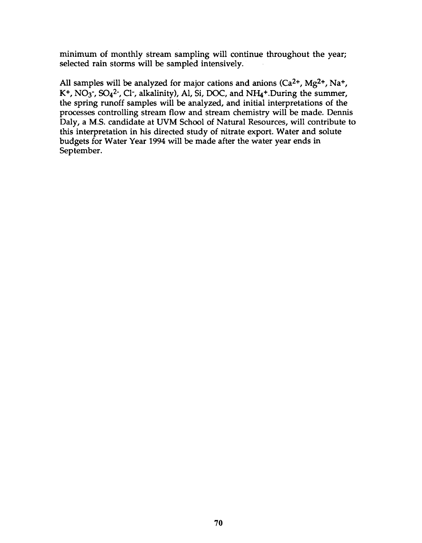minimum of monthly stream sampling will continue throughout the year; selected rain storms will be sampled intensively.

All samples will be analyzed for major cations and anions  $(Ca^{2+}$ ,  $Mg^{2+}$ , Na<sup>+</sup>, K<sup>+</sup>, NO<sub>3</sub><sup>-</sup>, SO<sub>4</sub><sup>2</sup><sup>-</sup>, Cl<sup>-</sup>, alkalinity), Al, Si, DOC, and NH<sub>4</sub><sup>+</sup>. During the summer, the spring runoff samples will be analyzed, and initial interpretations of the processes controlling stream flow and stream chemistry will be made. Dennis Daly, a M.S. candidate at UVM School of Natural Resources, will contribute to this interpretation in his directed study of nitrate export. Water and solute budgets for Water Year 1994 will be made after the water year ends in September .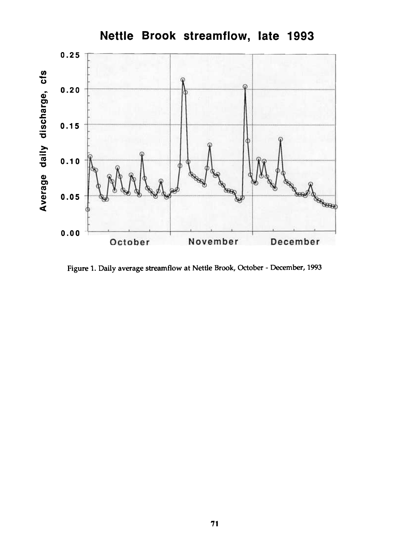

Figure 1. Daily average streamflow at Nettle Brook, October - December, 1993